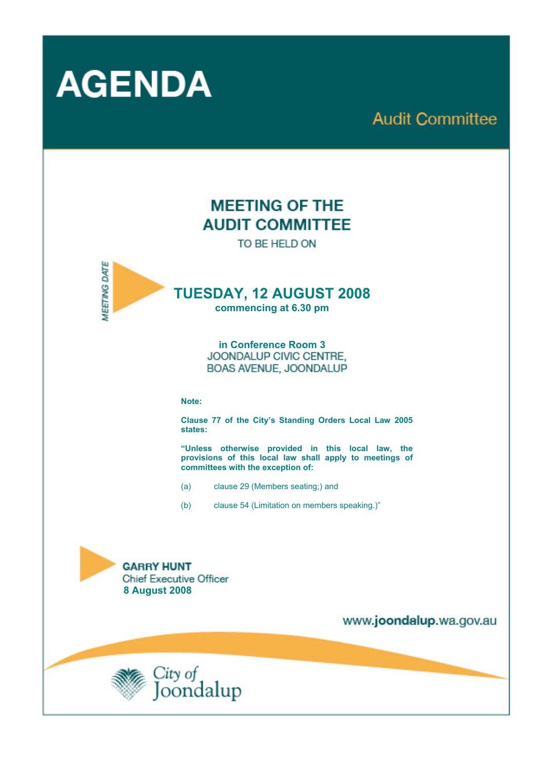

# **Audit Committee**

# **MEETING OF THE AUDIT COMMITTEE**

TO BE HELD ON



## **TUESDAY, 12 AUGUST 2008**

**commencing at 6.30 pm** 

**in Conference Room 3**  BOAS AVENUE, JOONDALUP

#### **Note:**

**Clause 77 of the City's Standing Orders Local Law 2005 states:** 

**"Unless otherwise provided in this local law, the provisions of this local law shall apply to meetings of committees with the exception of:** 

- (a) clause 29 (Members seating;) and
- (b) clause 54 (Limitation on members speaking.)"



www.joondalup.wa.gov.au

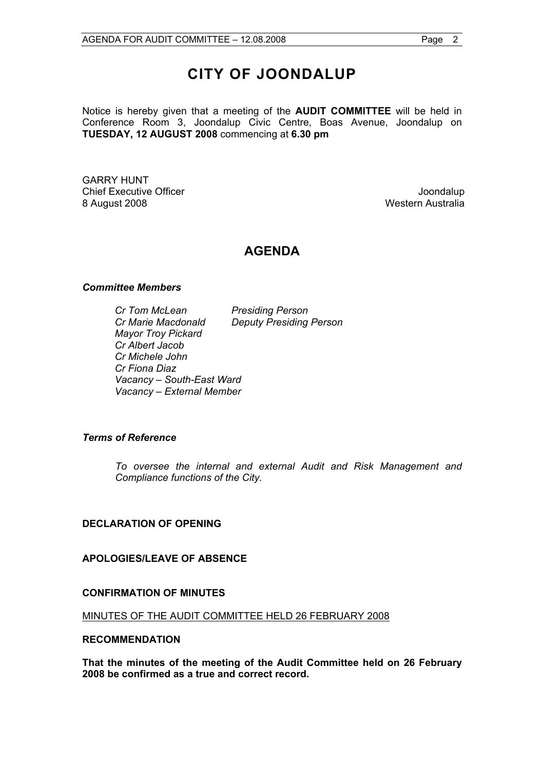## **CITY OF JOONDALUP**

Notice is hereby given that a meeting of the **AUDIT COMMITTEE** will be held in Conference Room 3, Joondalup Civic Centre, Boas Avenue, Joondalup on **TUESDAY, 12 AUGUST 2008** commencing at **6.30 pm** 

GARRY HUNT Chief Executive Officer **Joondalup** 8 August 2008 Western Australia

#### **AGENDA**

#### *Committee Members*

 *Cr Tom McLean Presiding Person Cr Marie Macdonald Deputy Presiding Person Mayor Troy Pickard Cr Albert Jacob Cr Michele John Cr Fiona Diaz Vacancy – South-East Ward Vacancy – External Member* 

#### *Terms of Reference*

*To oversee the internal and external Audit and Risk Management and Compliance functions of the City.* 

#### **DECLARATION OF OPENING**

#### **APOLOGIES/LEAVE OF ABSENCE**

#### **CONFIRMATION OF MINUTES**

MINUTES OF THE AUDIT COMMITTEE HELD 26 FEBRUARY 2008

#### **RECOMMENDATION**

**That the minutes of the meeting of the Audit Committee held on 26 February 2008 be confirmed as a true and correct record.**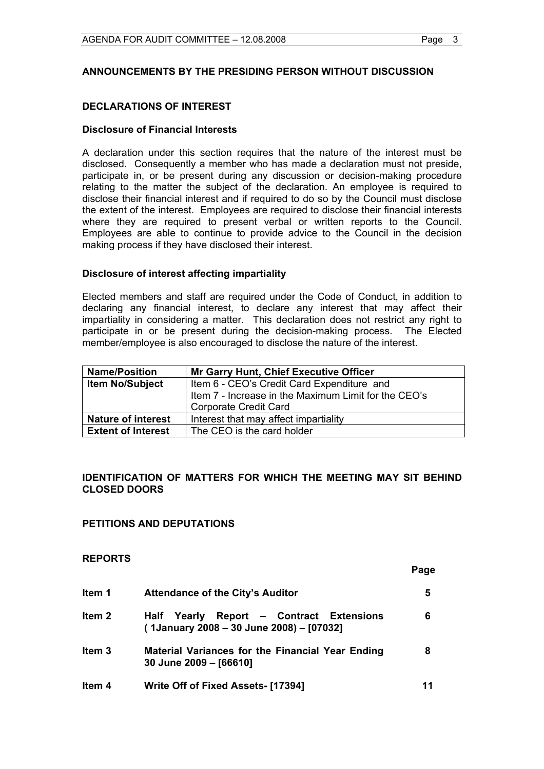#### **ANNOUNCEMENTS BY THE PRESIDING PERSON WITHOUT DISCUSSION**

#### **DECLARATIONS OF INTEREST**

#### **Disclosure of Financial Interests**

A declaration under this section requires that the nature of the interest must be disclosed. Consequently a member who has made a declaration must not preside, participate in, or be present during any discussion or decision-making procedure relating to the matter the subject of the declaration. An employee is required to disclose their financial interest and if required to do so by the Council must disclose the extent of the interest. Employees are required to disclose their financial interests where they are required to present verbal or written reports to the Council. Employees are able to continue to provide advice to the Council in the decision making process if they have disclosed their interest.

#### **Disclosure of interest affecting impartiality**

Elected members and staff are required under the Code of Conduct, in addition to declaring any financial interest, to declare any interest that may affect their impartiality in considering a matter. This declaration does not restrict any right to participate in or be present during the decision-making process. The Elected member/employee is also encouraged to disclose the nature of the interest.

| <b>Name/Position</b>      | Mr Garry Hunt, Chief Executive Officer               |
|---------------------------|------------------------------------------------------|
| <b>Item No/Subject</b>    | Item 6 - CEO's Credit Card Expenditure and           |
|                           | Item 7 - Increase in the Maximum Limit for the CEO's |
|                           | <b>Corporate Credit Card</b>                         |
| <b>Nature of interest</b> | Interest that may affect impartiality                |
| <b>Extent of Interest</b> | The CEO is the card holder                           |

#### **IDENTIFICATION OF MATTERS FOR WHICH THE MEETING MAY SIT BEHIND CLOSED DOORS**

#### **PETITIONS AND DEPUTATIONS**

**REPORTS** 

|                   |                                                                                         | Page |
|-------------------|-----------------------------------------------------------------------------------------|------|
| Item 1            | <b>Attendance of the City's Auditor</b>                                                 | 5    |
| Item <sub>2</sub> | Report - Contract Extensions<br>Half Yearly<br>(1January 2008 – 30 June 2008) – [07032] | 6    |
| Item <sub>3</sub> | <b>Material Variances for the Financial Year Ending</b><br>30 June 2009 - [66610]       | 8    |
| Item 4            | Write Off of Fixed Assets- [17394]                                                      | 11   |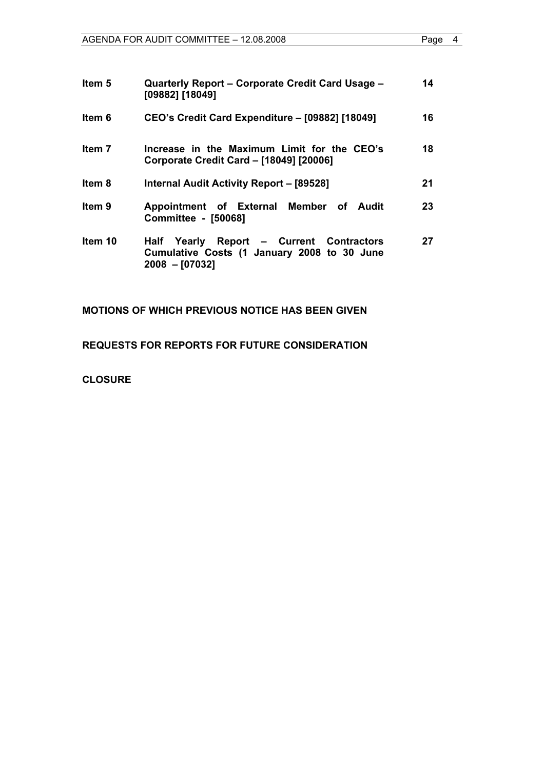| Item 5  | Quarterly Report – Corporate Credit Card Usage –<br>[09882] [18049]                                         | 14 |
|---------|-------------------------------------------------------------------------------------------------------------|----|
| ltem 6  | CEO's Credit Card Expenditure - [09882] [18049]                                                             | 16 |
| Item 7  | Increase in the Maximum Limit for the CEO's<br>Corporate Credit Card - [18049] [20006]                      | 18 |
| Item 8  | <b>Internal Audit Activity Report - [89528]</b>                                                             | 21 |
| Item 9  | Appointment of External Member of Audit<br>Committee - [50068]                                              | 23 |
| Item 10 | Half Yearly Report - Current Contractors<br>Cumulative Costs (1 January 2008 to 30 June<br>$2008 - [07032]$ | 27 |

#### **MOTIONS OF WHICH PREVIOUS NOTICE HAS BEEN GIVEN**

**REQUESTS FOR REPORTS FOR FUTURE CONSIDERATION** 

**CLOSURE**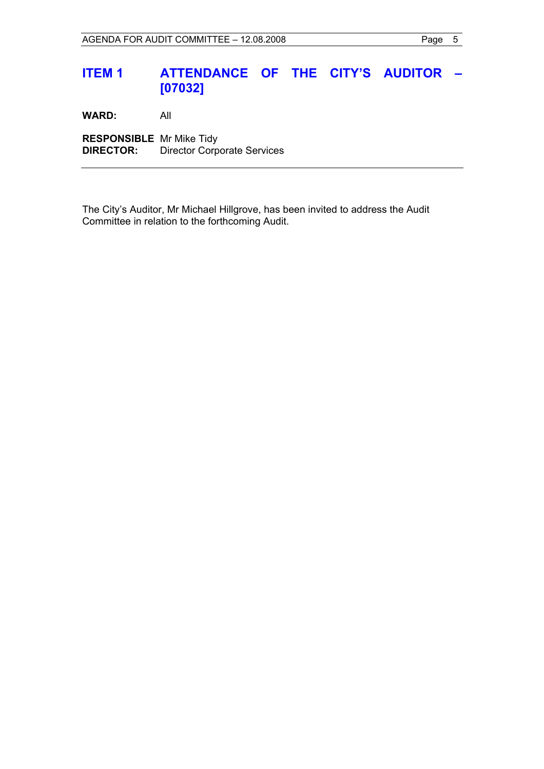## **ITEM 1 ATTENDANCE OF THE CITY'S AUDITOR – [07032]**

**WARD:** All

**RESPONSIBLE** Mr Mike Tidy **DIRECTOR:** Director Corporate Services

The City's Auditor, Mr Michael Hillgrove, has been invited to address the Audit Committee in relation to the forthcoming Audit.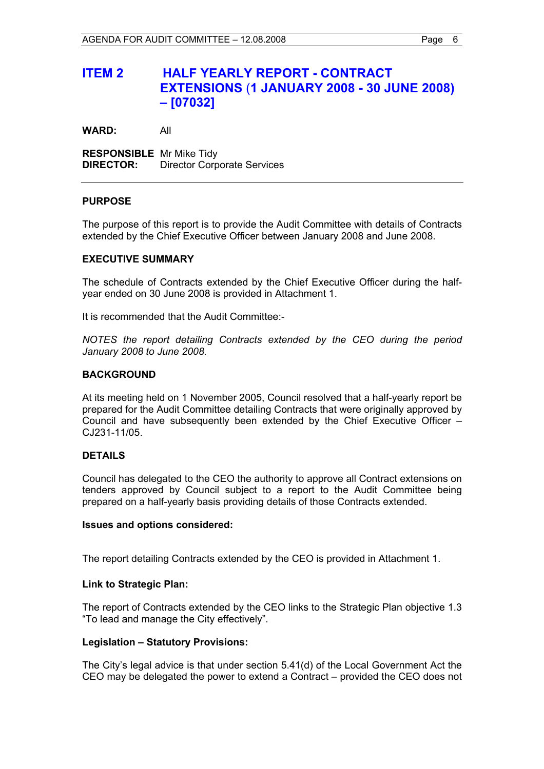## **ITEM 2 HALF YEARLY REPORT - CONTRACT EXTENSIONS** (**1 JANUARY 2008 - 30 JUNE 2008) – [07032]**

**WARD:** All

**RESPONSIBLE** Mr Mike Tidy **DIRECTOR:** Director Corporate Services

#### **PURPOSE**

The purpose of this report is to provide the Audit Committee with details of Contracts extended by the Chief Executive Officer between January 2008 and June 2008.

#### **EXECUTIVE SUMMARY**

The schedule of Contracts extended by the Chief Executive Officer during the halfyear ended on 30 June 2008 is provided in Attachment 1.

It is recommended that the Audit Committee:-

*NOTES the report detailing Contracts extended by the CEO during the period January 2008 to June 2008.* 

#### **BACKGROUND**

At its meeting held on 1 November 2005, Council resolved that a half-yearly report be prepared for the Audit Committee detailing Contracts that were originally approved by Council and have subsequently been extended by the Chief Executive Officer – CJ231-11/05.

#### **DETAILS**

Council has delegated to the CEO the authority to approve all Contract extensions on tenders approved by Council subject to a report to the Audit Committee being prepared on a half-yearly basis providing details of those Contracts extended.

#### **Issues and options considered:**

The report detailing Contracts extended by the CEO is provided in Attachment 1.

#### **Link to Strategic Plan:**

The report of Contracts extended by the CEO links to the Strategic Plan objective 1.3 "To lead and manage the City effectively".

#### **Legislation – Statutory Provisions:**

The City's legal advice is that under section 5.41(d) of the Local Government Act the CEO may be delegated the power to extend a Contract – provided the CEO does not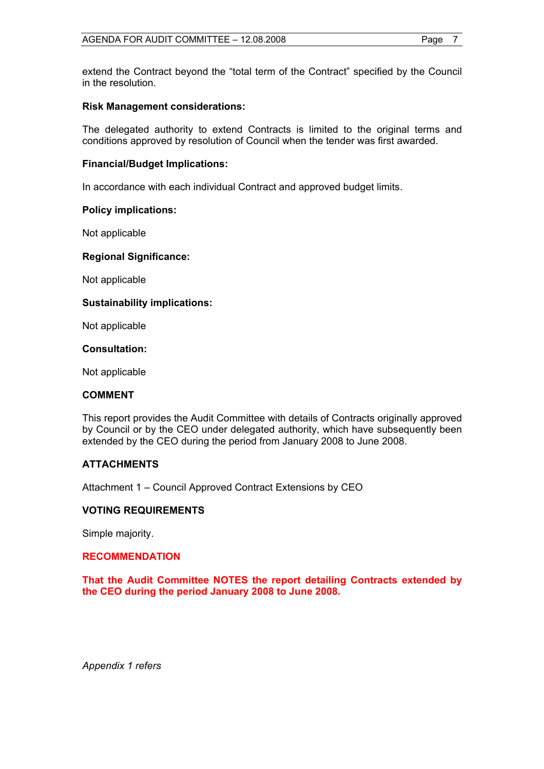extend the Contract beyond the "total term of the Contract" specified by the Council in the resolution.

#### **Risk Management considerations:**

The delegated authority to extend Contracts is limited to the original terms and conditions approved by resolution of Council when the tender was first awarded.

#### **Financial/Budget Implications:**

In accordance with each individual Contract and approved budget limits.

#### **Policy implications:**

Not applicable

#### **Regional Significance:**

Not applicable

#### **Sustainability implications:**

Not applicable

**Consultation:** 

Not applicable

#### **COMMENT**

This report provides the Audit Committee with details of Contracts originally approved by Council or by the CEO under delegated authority, which have subsequently been extended by the CEO during the period from January 2008 to June 2008.

#### **ATTACHMENTS**

Attachment 1 – Council Approved Contract Extensions by CEO

#### **VOTING REQUIREMENTS**

Simple majority.

#### **RECOMMENDATION**

**That the Audit Committee NOTES the report detailing Contracts extended by the CEO during the period January 2008 to June 2008.** 

*Appendix 1 refers*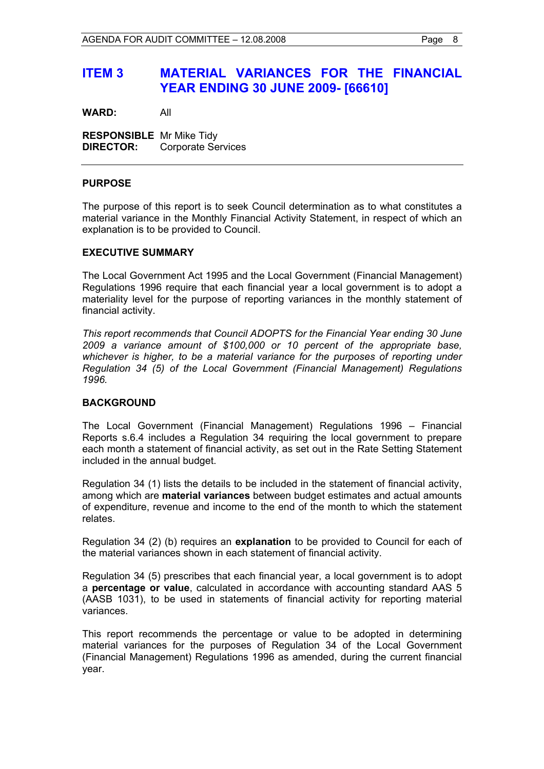## **ITEM 3 MATERIAL VARIANCES FOR THE FINANCIAL YEAR ENDING 30 JUNE 2009- [66610]**

**WARD:** All

**RESPONSIBLE** Mr Mike Tidy **DIRECTOR:** Corporate Services

#### **PURPOSE**

The purpose of this report is to seek Council determination as to what constitutes a material variance in the Monthly Financial Activity Statement, in respect of which an explanation is to be provided to Council.

#### **EXECUTIVE SUMMARY**

The Local Government Act 1995 and the Local Government (Financial Management) Regulations 1996 require that each financial year a local government is to adopt a materiality level for the purpose of reporting variances in the monthly statement of financial activity.

*This report recommends that Council ADOPTS for the Financial Year ending 30 June 2009 a variance amount of \$100,000 or 10 percent of the appropriate base, whichever is higher, to be a material variance for the purposes of reporting under Regulation 34 (5) of the Local Government (Financial Management) Regulations 1996.* 

#### **BACKGROUND**

The Local Government (Financial Management) Regulations 1996 – Financial Reports s.6.4 includes a Regulation 34 requiring the local government to prepare each month a statement of financial activity, as set out in the Rate Setting Statement included in the annual budget.

Regulation 34 (1) lists the details to be included in the statement of financial activity, among which are **material variances** between budget estimates and actual amounts of expenditure, revenue and income to the end of the month to which the statement relates.

Regulation 34 (2) (b) requires an **explanation** to be provided to Council for each of the material variances shown in each statement of financial activity.

Regulation 34 (5) prescribes that each financial year, a local government is to adopt a **percentage or value**, calculated in accordance with accounting standard AAS 5 (AASB 1031), to be used in statements of financial activity for reporting material variances.

This report recommends the percentage or value to be adopted in determining material variances for the purposes of Regulation 34 of the Local Government (Financial Management) Regulations 1996 as amended, during the current financial year.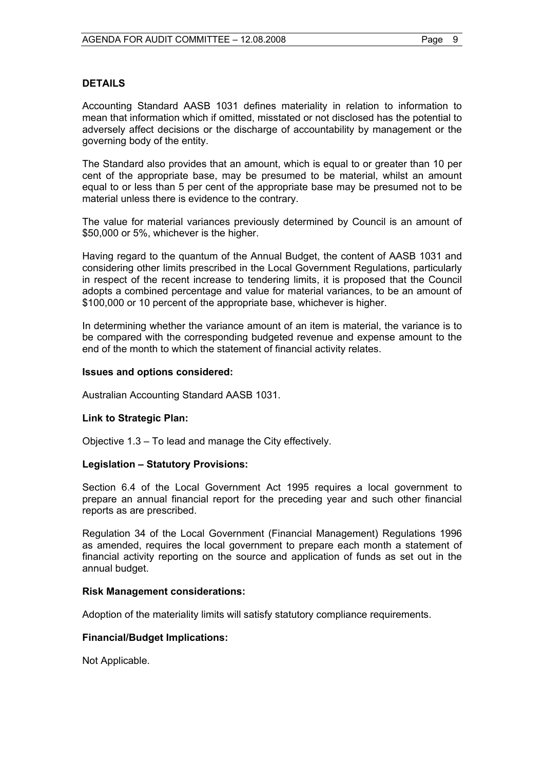#### **DETAILS**

Accounting Standard AASB 1031 defines materiality in relation to information to mean that information which if omitted, misstated or not disclosed has the potential to adversely affect decisions or the discharge of accountability by management or the governing body of the entity.

The Standard also provides that an amount, which is equal to or greater than 10 per cent of the appropriate base, may be presumed to be material, whilst an amount equal to or less than 5 per cent of the appropriate base may be presumed not to be material unless there is evidence to the contrary.

The value for material variances previously determined by Council is an amount of \$50,000 or 5%, whichever is the higher.

Having regard to the quantum of the Annual Budget, the content of AASB 1031 and considering other limits prescribed in the Local Government Regulations, particularly in respect of the recent increase to tendering limits, it is proposed that the Council adopts a combined percentage and value for material variances, to be an amount of \$100,000 or 10 percent of the appropriate base, whichever is higher.

In determining whether the variance amount of an item is material, the variance is to be compared with the corresponding budgeted revenue and expense amount to the end of the month to which the statement of financial activity relates.

#### **Issues and options considered:**

Australian Accounting Standard AASB 1031.

#### **Link to Strategic Plan:**

Objective 1.3 – To lead and manage the City effectively.

#### **Legislation – Statutory Provisions:**

Section 6.4 of the Local Government Act 1995 requires a local government to prepare an annual financial report for the preceding year and such other financial reports as are prescribed.

Regulation 34 of the Local Government (Financial Management) Regulations 1996 as amended, requires the local government to prepare each month a statement of financial activity reporting on the source and application of funds as set out in the annual budget.

#### **Risk Management considerations:**

Adoption of the materiality limits will satisfy statutory compliance requirements.

#### **Financial/Budget Implications:**

Not Applicable.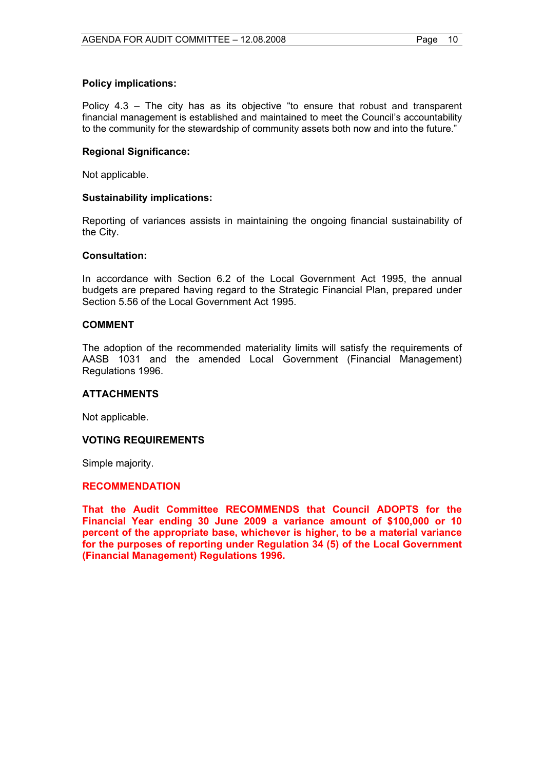#### **Policy implications:**

Policy 4.3 – The city has as its objective "to ensure that robust and transparent financial management is established and maintained to meet the Council's accountability to the community for the stewardship of community assets both now and into the future."

#### **Regional Significance:**

Not applicable.

#### **Sustainability implications:**

Reporting of variances assists in maintaining the ongoing financial sustainability of the City.

#### **Consultation:**

In accordance with Section 6.2 of the Local Government Act 1995, the annual budgets are prepared having regard to the Strategic Financial Plan, prepared under Section 5.56 of the Local Government Act 1995.

#### **COMMENT**

The adoption of the recommended materiality limits will satisfy the requirements of AASB 1031 and the amended Local Government (Financial Management) Regulations 1996.

#### **ATTACHMENTS**

Not applicable.

#### **VOTING REQUIREMENTS**

Simple majority.

#### **RECOMMENDATION**

**That the Audit Committee RECOMMENDS that Council ADOPTS for the Financial Year ending 30 June 2009 a variance amount of \$100,000 or 10 percent of the appropriate base, whichever is higher, to be a material variance for the purposes of reporting under Regulation 34 (5) of the Local Government (Financial Management) Regulations 1996.**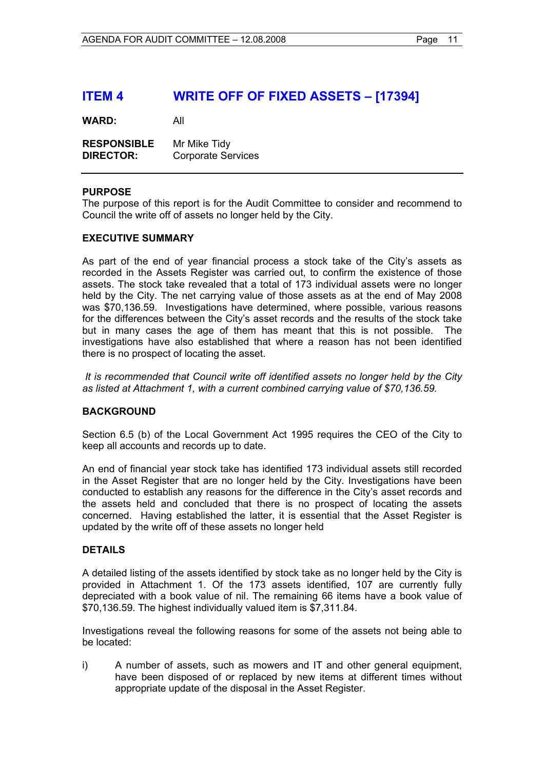## **ITEM 4 WRITE OFF OF FIXED ASSETS – [17394]**

**WARD:** All

**RESPONSIBLE** Mr Mike Tidy<br>**DIRECTOR:** Corporate Se **Corporate Services** 

#### **PURPOSE**

The purpose of this report is for the Audit Committee to consider and recommend to Council the write off of assets no longer held by the City.

#### **EXECUTIVE SUMMARY**

As part of the end of year financial process a stock take of the City's assets as recorded in the Assets Register was carried out, to confirm the existence of those assets. The stock take revealed that a total of 173 individual assets were no longer held by the City. The net carrying value of those assets as at the end of May 2008 was \$70,136.59. Investigations have determined, where possible, various reasons for the differences between the City's asset records and the results of the stock take but in many cases the age of them has meant that this is not possible. The investigations have also established that where a reason has not been identified there is no prospect of locating the asset.

 *It is recommended that Council write off identified assets no longer held by the City as listed at Attachment 1, with a current combined carrying value of \$70,136.59.* 

#### **BACKGROUND**

Section 6.5 (b) of the Local Government Act 1995 requires the CEO of the City to keep all accounts and records up to date.

An end of financial year stock take has identified 173 individual assets still recorded in the Asset Register that are no longer held by the City. Investigations have been conducted to establish any reasons for the difference in the City's asset records and the assets held and concluded that there is no prospect of locating the assets concerned. Having established the latter, it is essential that the Asset Register is updated by the write off of these assets no longer held

#### **DETAILS**

A detailed listing of the assets identified by stock take as no longer held by the City is provided in Attachment 1. Of the 173 assets identified, 107 are currently fully depreciated with a book value of nil. The remaining 66 items have a book value of \$70,136.59. The highest individually valued item is \$7,311.84.

Investigations reveal the following reasons for some of the assets not being able to be located:

i) A number of assets, such as mowers and IT and other general equipment, have been disposed of or replaced by new items at different times without appropriate update of the disposal in the Asset Register.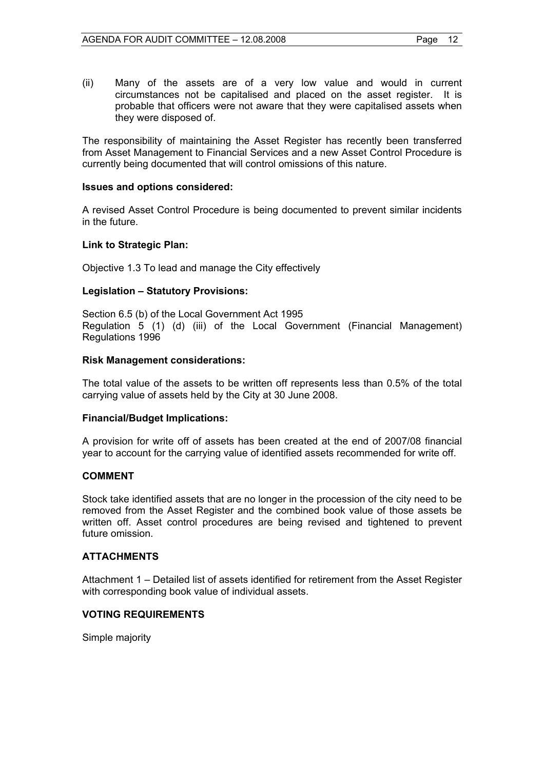(ii) Many of the assets are of a very low value and would in current circumstances not be capitalised and placed on the asset register. It is probable that officers were not aware that they were capitalised assets when they were disposed of.

The responsibility of maintaining the Asset Register has recently been transferred from Asset Management to Financial Services and a new Asset Control Procedure is currently being documented that will control omissions of this nature.

#### **Issues and options considered:**

A revised Asset Control Procedure is being documented to prevent similar incidents in the future.

#### **Link to Strategic Plan:**

Objective 1.3 To lead and manage the City effectively

#### **Legislation – Statutory Provisions:**

Section 6.5 (b) of the Local Government Act 1995 Regulation 5 (1) (d) (iii) of the Local Government (Financial Management) Regulations 1996

#### **Risk Management considerations:**

The total value of the assets to be written off represents less than 0.5% of the total carrying value of assets held by the City at 30 June 2008.

#### **Financial/Budget Implications:**

A provision for write off of assets has been created at the end of 2007/08 financial year to account for the carrying value of identified assets recommended for write off.

#### **COMMENT**

Stock take identified assets that are no longer in the procession of the city need to be removed from the Asset Register and the combined book value of those assets be written off. Asset control procedures are being revised and tightened to prevent future omission.

#### **ATTACHMENTS**

Attachment 1 – Detailed list of assets identified for retirement from the Asset Register with corresponding book value of individual assets.

#### **VOTING REQUIREMENTS**

Simple majority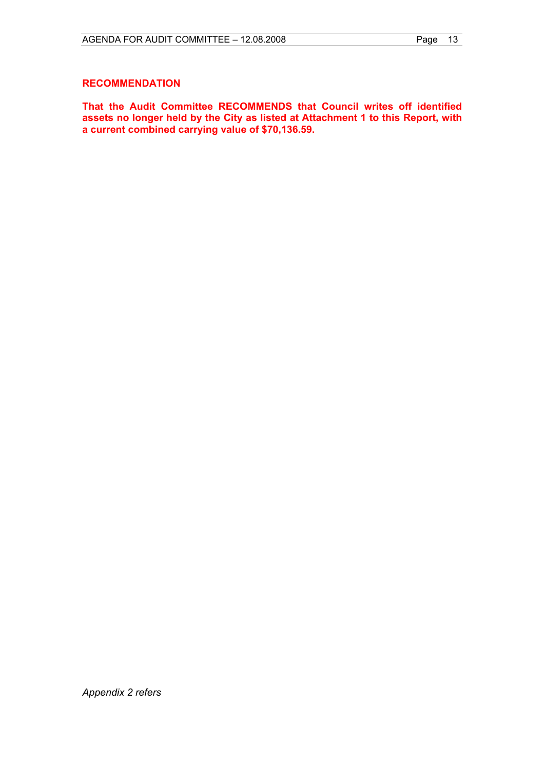#### **RECOMMENDATION**

**That the Audit Committee RECOMMENDS that Council writes off identified assets no longer held by the City as listed at Attachment 1 to this Report, with a current combined carrying value of \$70,136.59.** 

*Appendix 2 refers*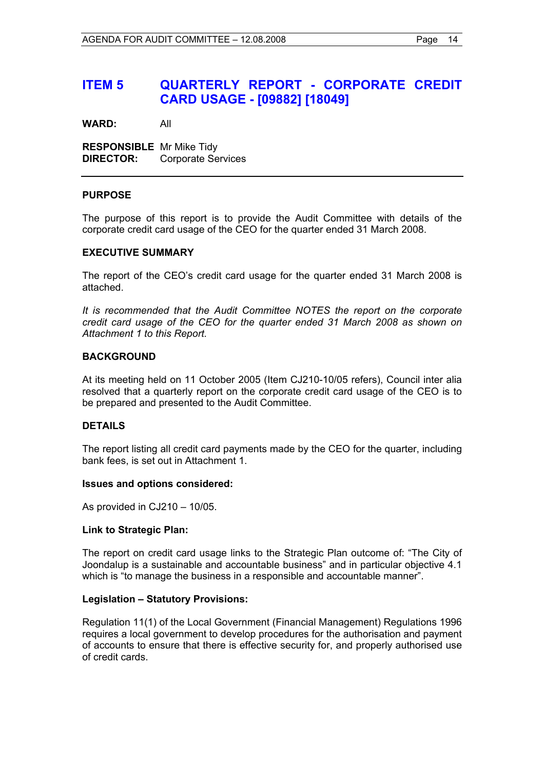## **ITEM 5 QUARTERLY REPORT - CORPORATE CREDIT CARD USAGE - [09882] [18049]**

**WARD:** All

**RESPONSIBLE** Mr Mike Tidy **DIRECTOR:** Corporate Services

#### **PURPOSE**

The purpose of this report is to provide the Audit Committee with details of the corporate credit card usage of the CEO for the quarter ended 31 March 2008.

#### **EXECUTIVE SUMMARY**

The report of the CEO's credit card usage for the quarter ended 31 March 2008 is attached.

*It is recommended that the Audit Committee NOTES the report on the corporate credit card usage of the CEO for the quarter ended 31 March 2008 as shown on Attachment 1 to this Report.*

#### **BACKGROUND**

At its meeting held on 11 October 2005 (Item CJ210-10/05 refers), Council inter alia resolved that a quarterly report on the corporate credit card usage of the CEO is to be prepared and presented to the Audit Committee.

#### **DETAILS**

The report listing all credit card payments made by the CEO for the quarter, including bank fees, is set out in Attachment 1.

#### **Issues and options considered:**

As provided in CJ210 – 10/05.

#### **Link to Strategic Plan:**

The report on credit card usage links to the Strategic Plan outcome of: "The City of Joondalup is a sustainable and accountable business" and in particular objective 4.1 which is "to manage the business in a responsible and accountable manner".

#### **Legislation – Statutory Provisions:**

Regulation 11(1) of the Local Government (Financial Management) Regulations 1996 requires a local government to develop procedures for the authorisation and payment of accounts to ensure that there is effective security for, and properly authorised use of credit cards.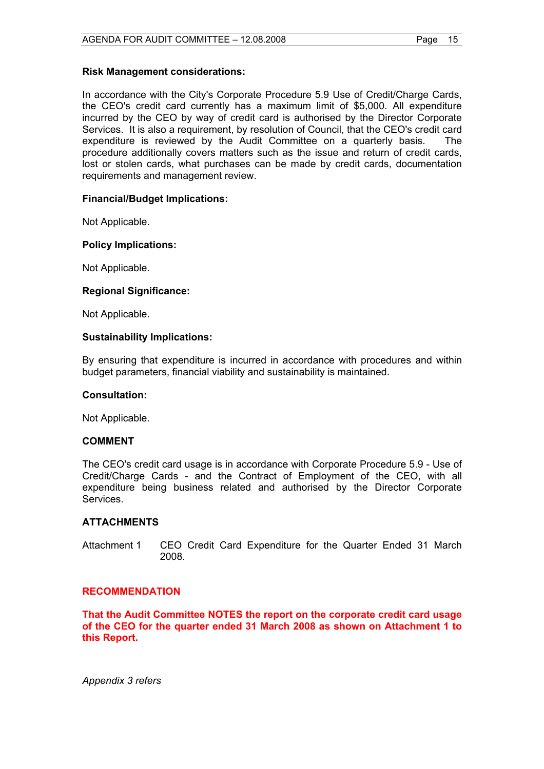#### **Risk Management considerations:**

In accordance with the City's Corporate Procedure 5.9 Use of Credit/Charge Cards, the CEO's credit card currently has a maximum limit of \$5,000. All expenditure incurred by the CEO by way of credit card is authorised by the Director Corporate Services. It is also a requirement, by resolution of Council, that the CEO's credit card expenditure is reviewed by the Audit Committee on a quarterly basis. The procedure additionally covers matters such as the issue and return of credit cards, lost or stolen cards, what purchases can be made by credit cards, documentation requirements and management review.

#### **Financial/Budget Implications:**

Not Applicable.

#### **Policy Implications:**

Not Applicable.

#### **Regional Significance:**

Not Applicable.

#### **Sustainability Implications:**

By ensuring that expenditure is incurred in accordance with procedures and within budget parameters, financial viability and sustainability is maintained.

#### **Consultation:**

Not Applicable.

#### **COMMENT**

The CEO's credit card usage is in accordance with Corporate Procedure 5.9 - Use of Credit/Charge Cards - and the Contract of Employment of the CEO, with all expenditure being business related and authorised by the Director Corporate Services.

#### **ATTACHMENTS**

Attachment 1 CEO Credit Card Expenditure for the Quarter Ended 31 March 2008.

#### **RECOMMENDATION**

**That the Audit Committee NOTES the report on the corporate credit card usage of the CEO for the quarter ended 31 March 2008 as shown on Attachment 1 to this Report.** 

*Appendix 3 refers*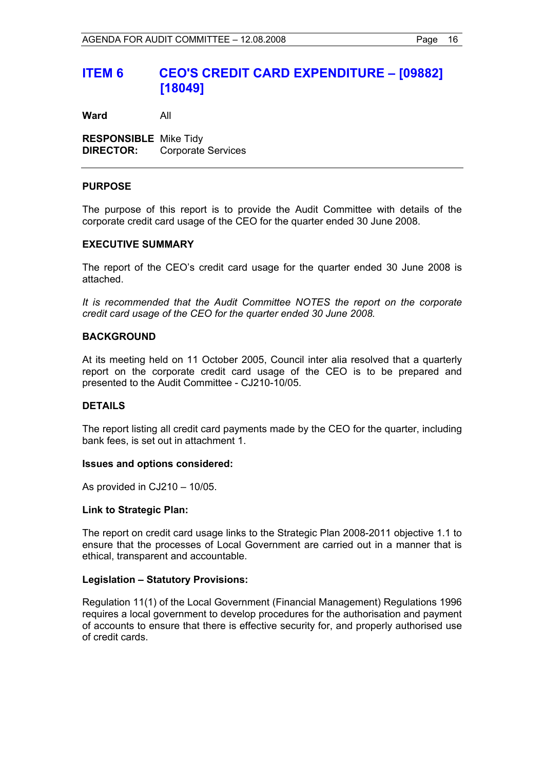## **ITEM 6 CEO'S CREDIT CARD EXPENDITURE – [09882] [18049]**

**Ward** All

**RESPONSIBLE** Mike Tidy **DIRECTOR:** Corporate Services

#### **PURPOSE**

The purpose of this report is to provide the Audit Committee with details of the corporate credit card usage of the CEO for the quarter ended 30 June 2008.

#### **EXECUTIVE SUMMARY**

The report of the CEO's credit card usage for the quarter ended 30 June 2008 is attached.

*It is recommended that the Audit Committee NOTES the report on the corporate credit card usage of the CEO for the quarter ended 30 June 2008.* 

#### **BACKGROUND**

At its meeting held on 11 October 2005, Council inter alia resolved that a quarterly report on the corporate credit card usage of the CEO is to be prepared and presented to the Audit Committee - CJ210-10/05.

#### **DETAILS**

The report listing all credit card payments made by the CEO for the quarter, including bank fees, is set out in attachment 1.

#### **Issues and options considered:**

As provided in CJ210 – 10/05.

#### **Link to Strategic Plan:**

The report on credit card usage links to the Strategic Plan 2008-2011 objective 1.1 to ensure that the processes of Local Government are carried out in a manner that is ethical, transparent and accountable.

#### **Legislation – Statutory Provisions:**

Regulation 11(1) of the Local Government (Financial Management) Regulations 1996 requires a local government to develop procedures for the authorisation and payment of accounts to ensure that there is effective security for, and properly authorised use of credit cards.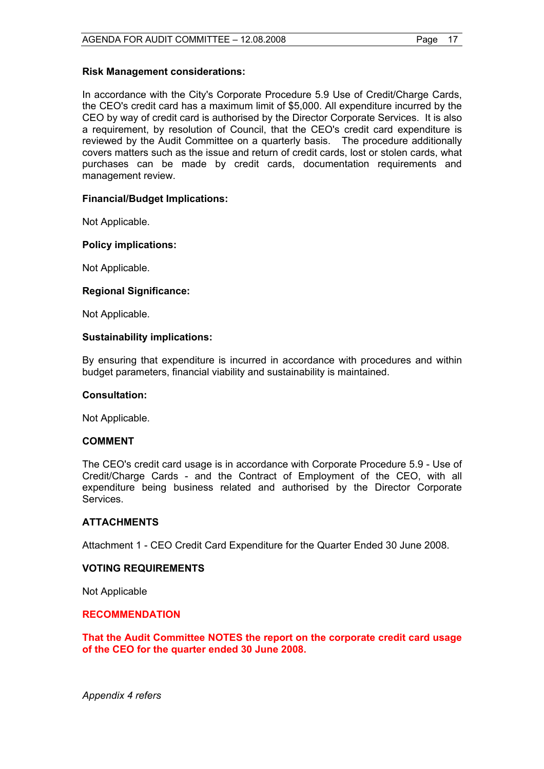#### **Risk Management considerations:**

In accordance with the City's Corporate Procedure 5.9 Use of Credit/Charge Cards, the CEO's credit card has a maximum limit of \$5,000. All expenditure incurred by the CEO by way of credit card is authorised by the Director Corporate Services. It is also a requirement, by resolution of Council, that the CEO's credit card expenditure is reviewed by the Audit Committee on a quarterly basis. The procedure additionally covers matters such as the issue and return of credit cards, lost or stolen cards, what purchases can be made by credit cards, documentation requirements and management review.

#### **Financial/Budget Implications:**

Not Applicable.

#### **Policy implications:**

Not Applicable.

#### **Regional Significance:**

Not Applicable.

#### **Sustainability implications:**

By ensuring that expenditure is incurred in accordance with procedures and within budget parameters, financial viability and sustainability is maintained.

#### **Consultation:**

Not Applicable.

#### **COMMENT**

The CEO's credit card usage is in accordance with Corporate Procedure 5.9 - Use of Credit/Charge Cards - and the Contract of Employment of the CEO, with all expenditure being business related and authorised by the Director Corporate Services.

#### **ATTACHMENTS**

Attachment 1 - CEO Credit Card Expenditure for the Quarter Ended 30 June 2008.

#### **VOTING REQUIREMENTS**

Not Applicable

#### **RECOMMENDATION**

**That the Audit Committee NOTES the report on the corporate credit card usage of the CEO for the quarter ended 30 June 2008.** 

*Appendix 4 refers*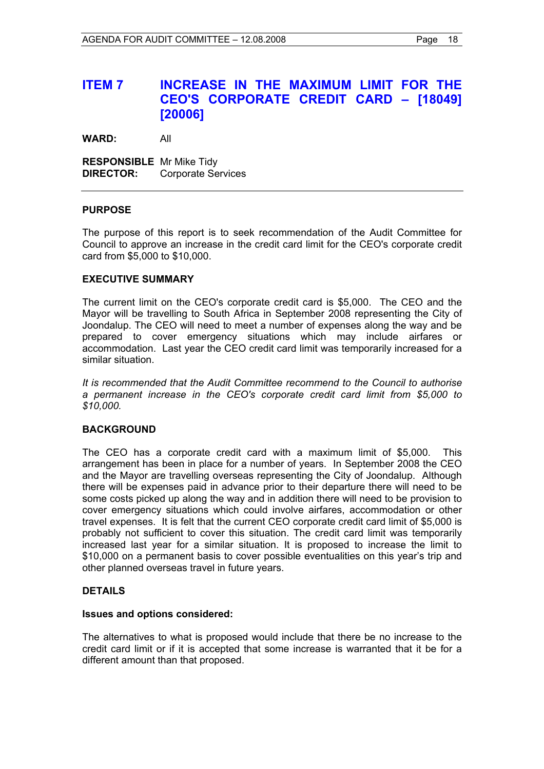## **ITEM 7 INCREASE IN THE MAXIMUM LIMIT FOR THE CEO'S CORPORATE CREDIT CARD – [18049] [20006]**

**WARD:** All

**RESPONSIBLE** Mr Mike Tidy **DIRECTOR:** Corporate Services

#### **PURPOSE**

The purpose of this report is to seek recommendation of the Audit Committee for Council to approve an increase in the credit card limit for the CEO's corporate credit card from \$5,000 to \$10,000.

#### **EXECUTIVE SUMMARY**

The current limit on the CEO's corporate credit card is \$5,000. The CEO and the Mayor will be travelling to South Africa in September 2008 representing the City of Joondalup. The CEO will need to meet a number of expenses along the way and be prepared to cover emergency situations which may include airfares or accommodation. Last year the CEO credit card limit was temporarily increased for a similar situation.

*It is recommended that the Audit Committee recommend to the Council to authorise a permanent increase in the CEO's corporate credit card limit from \$5,000 to \$10,000.* 

#### **BACKGROUND**

The CEO has a corporate credit card with a maximum limit of \$5,000. This arrangement has been in place for a number of years. In September 2008 the CEO and the Mayor are travelling overseas representing the City of Joondalup. Although there will be expenses paid in advance prior to their departure there will need to be some costs picked up along the way and in addition there will need to be provision to cover emergency situations which could involve airfares, accommodation or other travel expenses. It is felt that the current CEO corporate credit card limit of \$5,000 is probably not sufficient to cover this situation. The credit card limit was temporarily increased last year for a similar situation. It is proposed to increase the limit to \$10,000 on a permanent basis to cover possible eventualities on this year's trip and other planned overseas travel in future years.

#### **DETAILS**

#### **Issues and options considered:**

The alternatives to what is proposed would include that there be no increase to the credit card limit or if it is accepted that some increase is warranted that it be for a different amount than that proposed.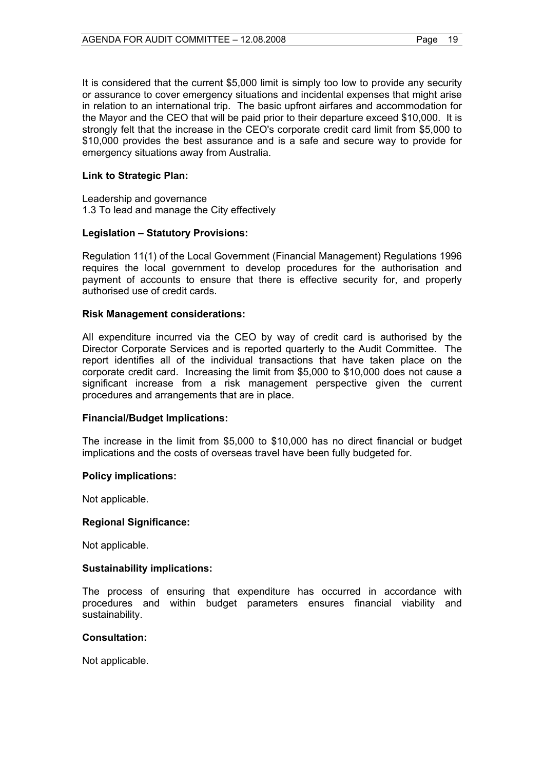It is considered that the current \$5,000 limit is simply too low to provide any security or assurance to cover emergency situations and incidental expenses that might arise in relation to an international trip. The basic upfront airfares and accommodation for the Mayor and the CEO that will be paid prior to their departure exceed \$10,000. It is strongly felt that the increase in the CEO's corporate credit card limit from \$5,000 to \$10,000 provides the best assurance and is a safe and secure way to provide for emergency situations away from Australia.

#### **Link to Strategic Plan:**

Leadership and governance 1.3 To lead and manage the City effectively

#### **Legislation – Statutory Provisions:**

Regulation 11(1) of the Local Government (Financial Management) Regulations 1996 requires the local government to develop procedures for the authorisation and payment of accounts to ensure that there is effective security for, and properly authorised use of credit cards.

#### **Risk Management considerations:**

All expenditure incurred via the CEO by way of credit card is authorised by the Director Corporate Services and is reported quarterly to the Audit Committee. The report identifies all of the individual transactions that have taken place on the corporate credit card. Increasing the limit from \$5,000 to \$10,000 does not cause a significant increase from a risk management perspective given the current procedures and arrangements that are in place.

#### **Financial/Budget Implications:**

The increase in the limit from \$5,000 to \$10,000 has no direct financial or budget implications and the costs of overseas travel have been fully budgeted for.

#### **Policy implications:**

Not applicable.

#### **Regional Significance:**

Not applicable.

#### **Sustainability implications:**

The process of ensuring that expenditure has occurred in accordance with procedures and within budget parameters ensures financial viability and sustainability.

#### **Consultation:**

Not applicable.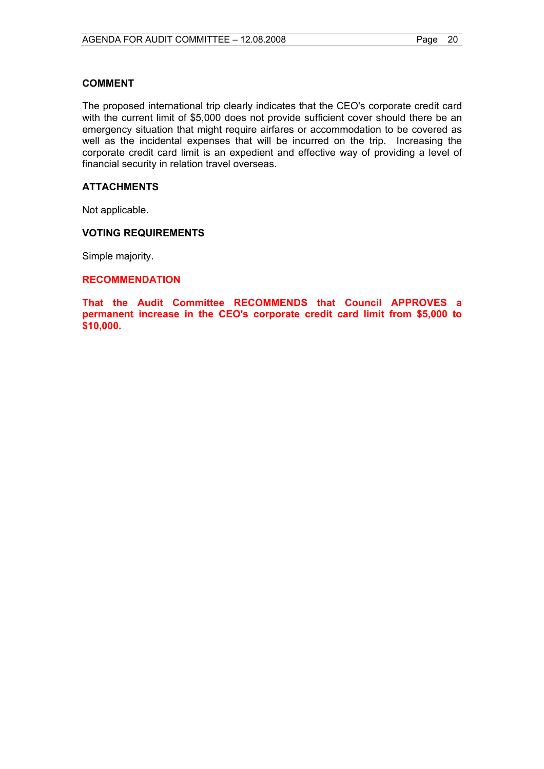#### **COMMENT**

The proposed international trip clearly indicates that the CEO's corporate credit card with the current limit of \$5,000 does not provide sufficient cover should there be an emergency situation that might require airfares or accommodation to be covered as well as the incidental expenses that will be incurred on the trip. Increasing the corporate credit card limit is an expedient and effective way of providing a level of financial security in relation travel overseas.

#### **ATTACHMENTS**

Not applicable.

#### **VOTING REQUIREMENTS**

Simple majority.

#### **RECOMMENDATION**

**That the Audit Committee RECOMMENDS that Council APPROVES a permanent increase in the CEO's corporate credit card limit from \$5,000 to \$10,000.**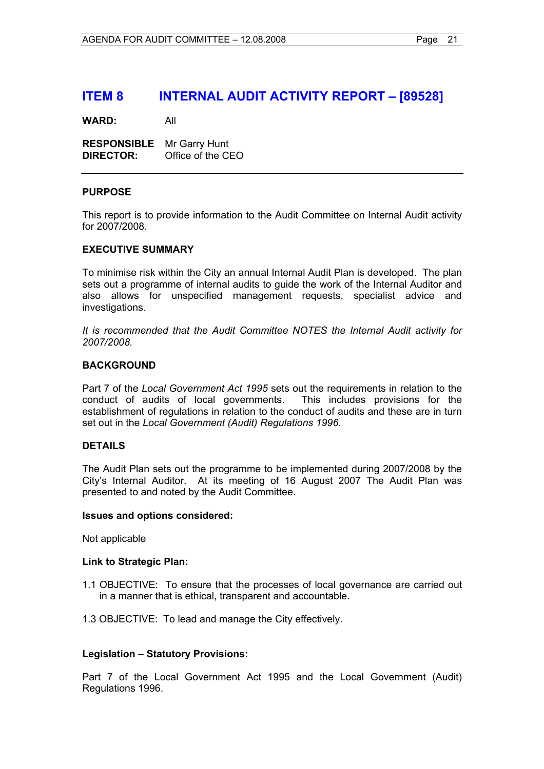### **ITEM 8 INTERNAL AUDIT ACTIVITY REPORT – [89528]**

**WARD:** All

**RESPONSIBLE** Mr Garry Hunt **DIRECTOR:** Office of the CEO

#### **PURPOSE**

This report is to provide information to the Audit Committee on Internal Audit activity for 2007/2008.

#### **EXECUTIVE SUMMARY**

To minimise risk within the City an annual Internal Audit Plan is developed. The plan sets out a programme of internal audits to guide the work of the Internal Auditor and also allows for unspecified management requests, specialist advice and investigations.

*It is recommended that the Audit Committee NOTES the Internal Audit activity for 2007/2008.* 

#### **BACKGROUND**

Part 7 of the *Local Government Act 1995* sets out the requirements in relation to the conduct of audits of local governments. This includes provisions for the establishment of regulations in relation to the conduct of audits and these are in turn set out in the *Local Government (Audit) Regulations 1996.* 

#### **DETAILS**

The Audit Plan sets out the programme to be implemented during 2007/2008 by the City's Internal Auditor. At its meeting of 16 August 2007 The Audit Plan was presented to and noted by the Audit Committee.

#### **Issues and options considered:**

Not applicable

#### **Link to Strategic Plan:**

- 1.1 OBJECTIVE: To ensure that the processes of local governance are carried out in a manner that is ethical, transparent and accountable.
- 1.3 OBJECTIVE: To lead and manage the City effectively.

#### **Legislation – Statutory Provisions:**

Part 7 of the Local Government Act 1995 and the Local Government (Audit) Regulations 1996.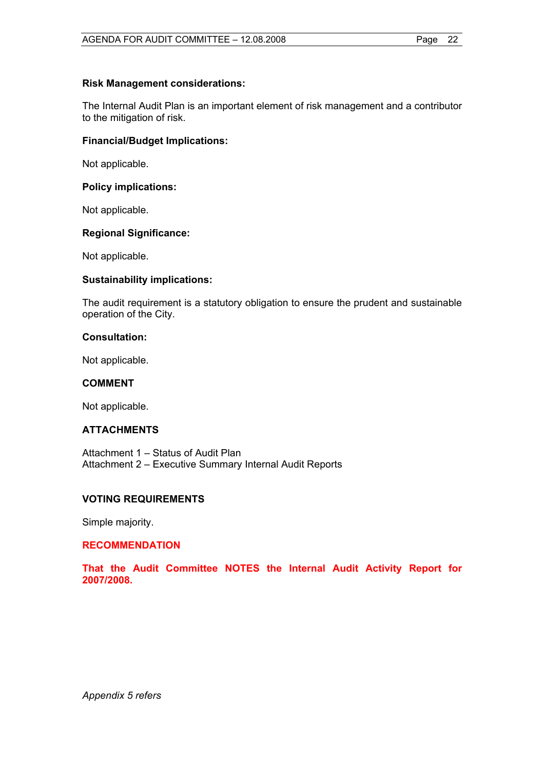#### **Risk Management considerations:**

The Internal Audit Plan is an important element of risk management and a contributor to the mitigation of risk.

#### **Financial/Budget Implications:**

Not applicable.

#### **Policy implications:**

Not applicable.

#### **Regional Significance:**

Not applicable.

#### **Sustainability implications:**

The audit requirement is a statutory obligation to ensure the prudent and sustainable operation of the City.

#### **Consultation:**

Not applicable.

#### **COMMENT**

Not applicable.

#### **ATTACHMENTS**

Attachment 1 – Status of Audit Plan Attachment 2 – Executive Summary Internal Audit Reports

#### **VOTING REQUIREMENTS**

Simple majority.

#### **RECOMMENDATION**

**That the Audit Committee NOTES the Internal Audit Activity Report for 2007/2008.** 

*Appendix 5 refers*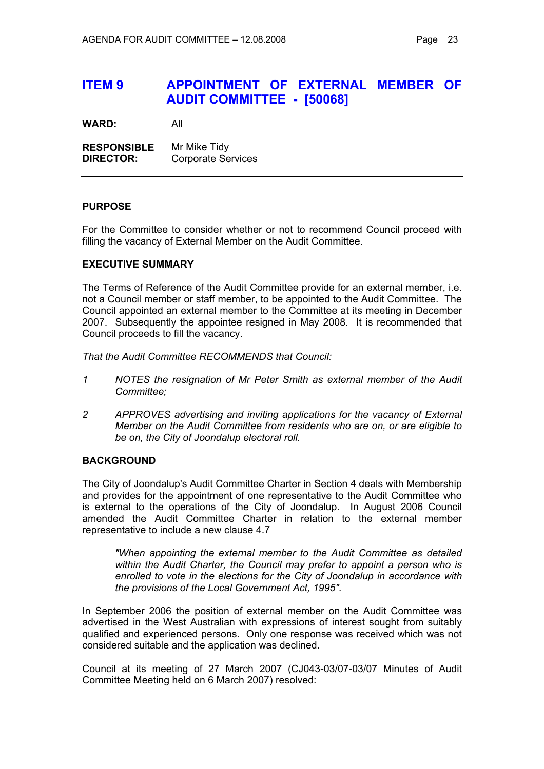## **ITEM 9 APPOINTMENT OF EXTERNAL MEMBER OF AUDIT COMMITTEE - [50068]**

**WARD:** All

**RESPONSIBLE** Mr Mike Tidy **DIRECTOR:** Corporate Services

#### **PURPOSE**

For the Committee to consider whether or not to recommend Council proceed with filling the vacancy of External Member on the Audit Committee.

#### **EXECUTIVE SUMMARY**

The Terms of Reference of the Audit Committee provide for an external member, i.e. not a Council member or staff member, to be appointed to the Audit Committee. The Council appointed an external member to the Committee at its meeting in December 2007. Subsequently the appointee resigned in May 2008. It is recommended that Council proceeds to fill the vacancy.

*That the Audit Committee RECOMMENDS that Council:* 

- *1 NOTES the resignation of Mr Peter Smith as external member of the Audit Committee;*
- *2 APPROVES advertising and inviting applications for the vacancy of External Member on the Audit Committee from residents who are on, or are eligible to be on, the City of Joondalup electoral roll.*

#### **BACKGROUND**

The City of Joondalup's Audit Committee Charter in Section 4 deals with Membership and provides for the appointment of one representative to the Audit Committee who is external to the operations of the City of Joondalup. In August 2006 Council amended the Audit Committee Charter in relation to the external member representative to include a new clause 4.7

*"When appointing the external member to the Audit Committee as detailed within the Audit Charter, the Council may prefer to appoint a person who is enrolled to vote in the elections for the City of Joondalup in accordance with the provisions of the Local Government Act, 1995".* 

In September 2006 the position of external member on the Audit Committee was advertised in the West Australian with expressions of interest sought from suitably qualified and experienced persons. Only one response was received which was not considered suitable and the application was declined.

Council at its meeting of 27 March 2007 (CJ043-03/07-03/07 Minutes of Audit Committee Meeting held on 6 March 2007) resolved: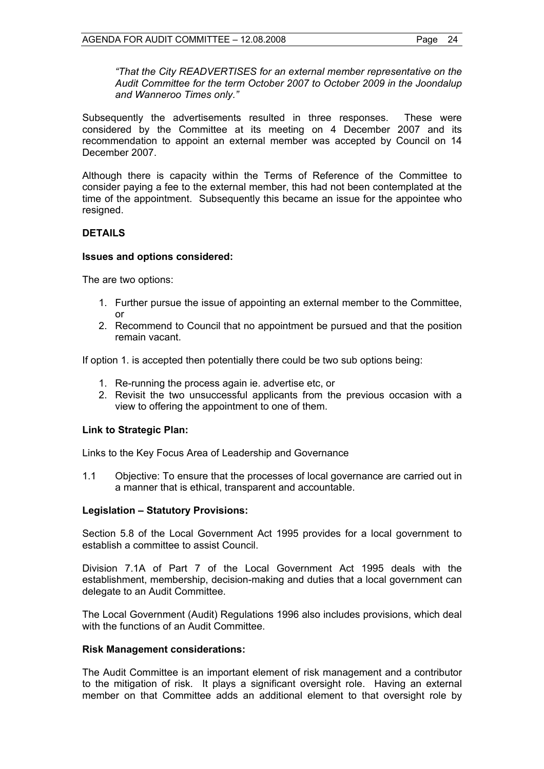*"That the City READVERTISES for an external member representative on the Audit Committee for the term October 2007 to October 2009 in the Joondalup and Wanneroo Times only."*

Subsequently the advertisements resulted in three responses. These were considered by the Committee at its meeting on 4 December 2007 and its recommendation to appoint an external member was accepted by Council on 14 December 2007.

Although there is capacity within the Terms of Reference of the Committee to consider paying a fee to the external member, this had not been contemplated at the time of the appointment. Subsequently this became an issue for the appointee who resigned.

#### **DETAILS**

#### **Issues and options considered:**

The are two options:

- 1. Further pursue the issue of appointing an external member to the Committee, or
- 2. Recommend to Council that no appointment be pursued and that the position remain vacant.

If option 1. is accepted then potentially there could be two sub options being:

- 1. Re-running the process again ie. advertise etc, or
- 2. Revisit the two unsuccessful applicants from the previous occasion with a view to offering the appointment to one of them.

#### **Link to Strategic Plan:**

Links to the Key Focus Area of Leadership and Governance

1.1 Objective: To ensure that the processes of local governance are carried out in a manner that is ethical, transparent and accountable.

#### **Legislation – Statutory Provisions:**

Section 5.8 of the Local Government Act 1995 provides for a local government to establish a committee to assist Council.

Division 7.1A of Part 7 of the Local Government Act 1995 deals with the establishment, membership, decision-making and duties that a local government can delegate to an Audit Committee.

The Local Government (Audit) Regulations 1996 also includes provisions, which deal with the functions of an Audit Committee.

#### **Risk Management considerations:**

The Audit Committee is an important element of risk management and a contributor to the mitigation of risk. It plays a significant oversight role. Having an external member on that Committee adds an additional element to that oversight role by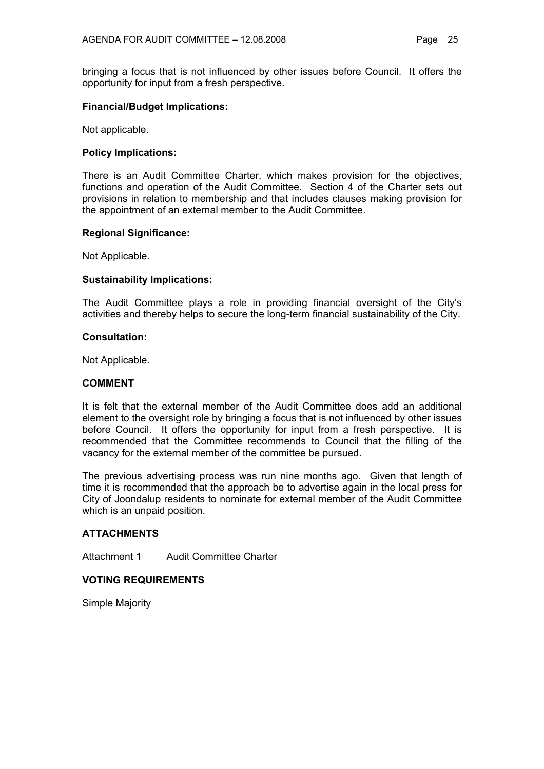bringing a focus that is not influenced by other issues before Council. It offers the opportunity for input from a fresh perspective.

#### **Financial/Budget Implications:**

Not applicable.

#### **Policy Implications:**

There is an Audit Committee Charter, which makes provision for the objectives, functions and operation of the Audit Committee. Section 4 of the Charter sets out provisions in relation to membership and that includes clauses making provision for the appointment of an external member to the Audit Committee.

#### **Regional Significance:**

Not Applicable.

#### **Sustainability Implications:**

The Audit Committee plays a role in providing financial oversight of the City's activities and thereby helps to secure the long-term financial sustainability of the City.

#### **Consultation:**

Not Applicable.

#### **COMMENT**

It is felt that the external member of the Audit Committee does add an additional element to the oversight role by bringing a focus that is not influenced by other issues before Council. It offers the opportunity for input from a fresh perspective. It is recommended that the Committee recommends to Council that the filling of the vacancy for the external member of the committee be pursued.

The previous advertising process was run nine months ago. Given that length of time it is recommended that the approach be to advertise again in the local press for City of Joondalup residents to nominate for external member of the Audit Committee which is an unpaid position.

#### **ATTACHMENTS**

Attachment 1 Audit Committee Charter

#### **VOTING REQUIREMENTS**

Simple Majority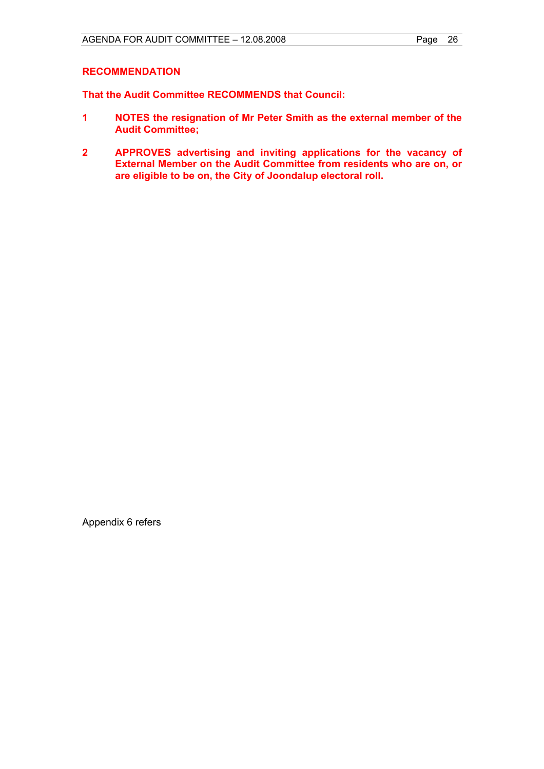#### **RECOMMENDATION**

**That the Audit Committee RECOMMENDS that Council:** 

- **1 NOTES the resignation of Mr Peter Smith as the external member of the Audit Committee;**
- **2 APPROVES advertising and inviting applications for the vacancy of External Member on the Audit Committee from residents who are on, or are eligible to be on, the City of Joondalup electoral roll.**

Appendix 6 refers